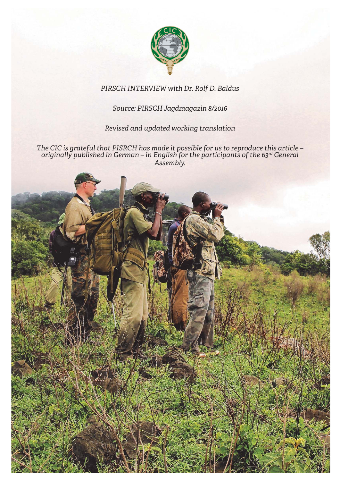

# *PIRSCH INTERVIEW with Dr. Rolf D. Baldus*

# *Source: PIRSCH Jagdmagazin 8/2016*

# *Revised and updated working translation*

*The CIC is grateful that PISRCH has made it possible for us to reproduce this article – originally published in German – in English for the participants of the 63rd General Assembly.*

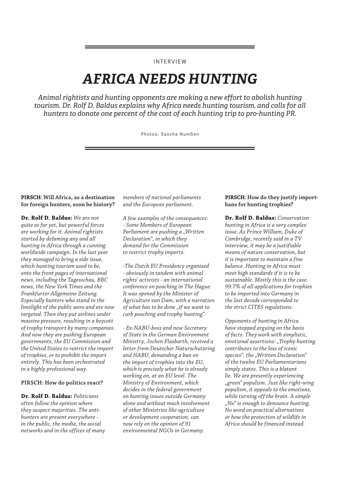## INTERVIEW

# *AFRICA NEEDS HUNTING*

*Animal rightists and hunting opponents are making a new effort to abolish hunting tourism. Dr. Rolf D. Baldus explains why Africa needs hunting tourism, and calls for all hunters to donate one percent of the cost of each hunting trip to pro-hunting PR.*

Photos: Sascha Numßen

## **PIRSCH: Will Africa, as a destination for foreign hunters, soon be history?**

**Dr. Rolf D. Baldus:** *We are not quite so far yet, but powerful forces are working for it. Animal rightists started by defaming any and all hunting in Africa through a cunning worldwide campaign. In the last year they managed to bring a side issue, which hunting tourism used to be, onto the front pages of international news, including the Tagesschau, BBC news, the New York Times and the Frankfurter Allgemeine Zeitung. Especially hunters who stand in the limelight of the public were and are now targeted. Then they put airlines under massive pressure, resulting in a boycott of trophy transport by many companies. And now they are pushing European governments, the EU Commission and the United States to restrict the import of trophies, or to prohibit the import entirely. This has been orchestrated in a highly professional way.*

#### **PIRSCH: How do politics react?**

**Dr. Rolf D. Baldus:** *Politicians often follow the opinion where they suspect majorities. The antihunters are present everywhere in the public, the media, the social networks and in the offices of many*  *members of national parliaments and the European parliament.*

*A few examples of the consequences: - Some Members of European Parliament are pushing a "Written Declaration", in which they demand for the Commission to restrict trophy imports.*

*-The Dutch EU Presidency organized - obviously in tandem with animal rights' activists - an international conference on poaching in The Hague. It was opened by the Minister of Agriculture van Dam, with a narration of what has to be done "if we want to curb poaching and trophy hunting".*

*- Ex-NABU-boss and now Secretary of State in the German Environment Ministry, Jochen Flasbarth, received a letter from Deutscher Naturschutzring and NABU, demanding a ban on the import of trophies into the EU, which is precisely what he is already working on, at an EU level. The Ministry of Environment, which decides in the federal government on hunting issues outside Germany alone and without much involvement of other Ministries like agriculture or development cooperation, can now rely on the opinion of 91 environmental NGOs in Germany.*

#### **PIRSCH: How do they justify importbans for hunting trophies?**

**Dr. Rolf D. Baldus:** *Conservation hunting in Africa is a very complex issue. As Prince William, Duke of Cambridge, recently said in a TV interview, it may be a justifiable means of nature conservation, but it is important to maintain a fine balance. Hunting in Africa must meet high standards if it is to be sustainable. Mostly this is the case. 99.7% of all applications for trophies to be imported into Germany in the last decade corresponded to the strict CITES regulations.*

*Opponents of hunting in Africa have stopped arguing on the basis of facts. They work with simplistic, emotional assertions: "Trophy hunting contributes to the loss of iconic species", the "Written Declaration" of the twelve EU Parliamentarians simply states. This is a blatant lie. We are presently experiencing "green" populism. Just like right-wing populism, it appeals to the emotions, while turning off the brain. A simple "No" is enough to denounce hunting. No word on practical alternatives or how the protection of wildlife in Africa should be financed instead.*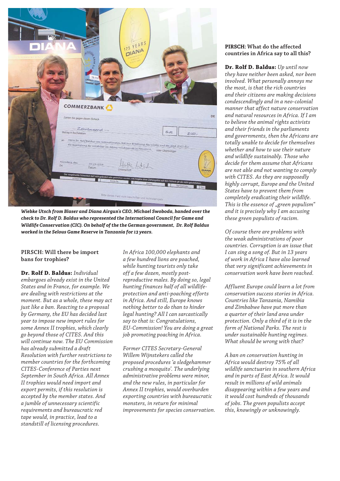

*Wiebke Utsch from Blaser and Diana Airgun's CEO, Michael Swoboda, handed over the check to Dr. Rolf D. Baldus who represented the International Council for Game and Wildlife Conservation (CIC). On behalf of the the German government, Dr. Rolf Baldus worked in the Selous Game Reserve in Tanzania for 13 years.*

## **PIRSCH: Will there be import bans for trophies?**

**Dr. Rolf D. Baldus:** *Individual embargoes already exist in the United States and in France, for example. We are dealing with restrictions at the moment. But as a whole, these may act just like a ban. Reacting to a proposal by Germany, the EU has decided last year to impose new import rules for some Annex II trophies, which clearly go beyond those of CITES. And this will continue now. The EU Commission has already submitted a draft Resolution with further restrictions to member countries for the forthcoming CITES-Conference of Parties next September in South Africa. All Annex II trophies would need import and export permits, if this resolution is accepted by the member states. And a jumble of unnecessary scientific requirements and bureaucratic red tape would, in practice, lead to a standstill of licensing procedures.* 

*In Africa 100,000 elephants and a few hundred lions are poached, while hunting tourists only take off a few dozen, mostly postreproductive males. By doing so, legal hunting finances half of all wildlifeprotection and anti-poaching efforts in Africa. And still, Europe knows nothing better to do than to hinder legal hunting? All I can sarcastically say to that is: Congratulations, EU-Commission! You are doing a great job promoting poaching in Africa.*

*Former CITES Secretary-General Willem Wijnstekers called the proposed procedures 'a sledgehammer crushing a mosquito'. The underlying administrative problems were minor, and the new rules, in particular for Annex II trophies, would overburden exporting countries with bureaucratic monsters, in return for minimal improvements for species conservation.*

#### **PIRSCH: What do the affected countries in Africa say to all this?**

**Dr. Rolf D. Baldus:** *Up until now they have neither been asked, nor been involved. What personally annoys me the most, is that the rich countries and their citizens are making decisions condescendingly and in a neo-colonial manner that affect nature conservation and natural resources in Africa. If I am to believe the animal rights activists and their friends in the parliaments and governments, then the Africans are totally unable to decide for themselves whether and how to use their nature and wildlife sustainably. Those who decide for them assume that Africans are not able and not wanting to comply with CITES. As they are supposedly highly corrupt, Europe and the United States have to prevent them from completely eradicating their wildlife. This is the essence of "green populism" and it is precisely why I am accusing these green populists of racism.*

*Of course there are problems with the weak administrations of poor countries. Corruption is an issue that I can sing a song of. But in 13 years of work in Africa I have also learned that very significant achievements in conservation work have been reached.*

*Affluent Europe could learn a lot from conservation success stories in Africa. Countries like Tanzania, Namibia and Zimbabwe have put more than a quarter of their land area under protection. Only a third of it is in the form of National Parks. The rest is under sustainable hunting regimes. What should be wrong with that?*

*A ban on conservation hunting in Africa would destroy 75% of all wildlife sanctuaries in southern Africa and in parts of East Africa. It would result in millions of wild animals disappearing within a few years and it would cost hundreds of thousands of jobs. The green populists accept this, knowingly or unknowingly.*